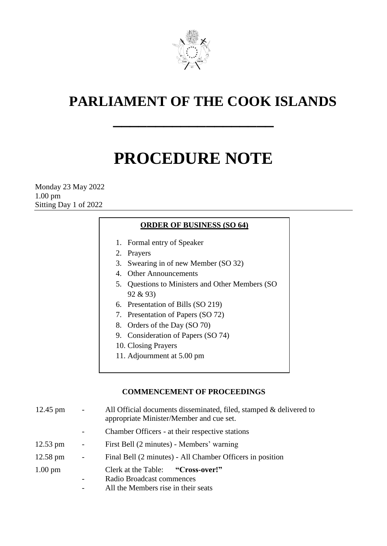

# **PARLIAMENT OF THE COOK ISLANDS**

# **PROCEDURE NOTE**

**\_\_\_\_\_\_\_\_\_\_\_\_\_\_\_\_\_\_\_**

Monday 23 May 2022 1.00 pm Sitting Day 1 of 2022

# **ORDER OF BUSINESS (SO 64)**

- 1. Formal entry of Speaker
- 2. Prayers
- 3. Swearing in of new Member (SO 32)
- 4. Other Announcements
- 5. Questions to Ministers and Other Members (SO 92 & 93)
- 6. Presentation of Bills (SO 219)
- 7. Presentation of Papers (SO 72)
- 8. Orders of the Day (SO 70)
- 9. Consideration of Papers (SO 74)
- 10. Closing Prayers
- 11. Adjournment at 5.00 pm

# **COMMENCEMENT OF PROCEEDINGS**

| 12.45 pm           | $\blacksquare$           | All Official documents disseminated, filed, stamped & delivered to<br>appropriate Minister/Member and cue set. |
|--------------------|--------------------------|----------------------------------------------------------------------------------------------------------------|
|                    |                          | Chamber Officers - at their respective stations                                                                |
| $12.53$ pm         | $\overline{\phantom{a}}$ | First Bell (2 minutes) - Members' warning                                                                      |
| $12.58 \text{ pm}$ | $\blacksquare$           | Final Bell (2 minutes) - All Chamber Officers in position                                                      |
| $1.00 \text{ pm}$  |                          | Clerk at the Table: "Cross-over!"                                                                              |
|                    |                          | Radio Broadcast commences                                                                                      |
|                    |                          | All the Members rise in their seats                                                                            |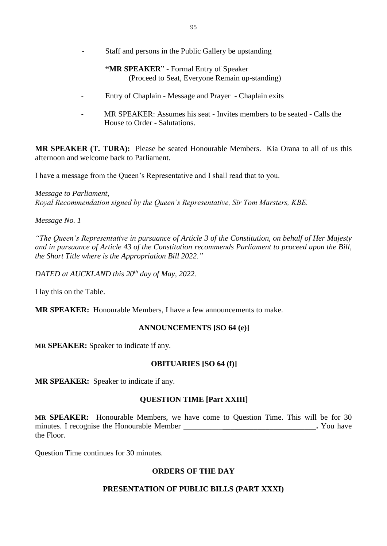- Staff and persons in the Public Gallery be upstanding

# **"MR SPEAKER**" - Formal Entry of Speaker (Proceed to Seat, Everyone Remain up-standing)

- Entry of Chaplain Message and Prayer Chaplain exits
- MR SPEAKER: Assumes his seat Invites members to be seated Calls the House to Order - Salutations.

**MR SPEAKER (T. TURA):** Please be seated Honourable Members. Kia Orana to all of us this afternoon and welcome back to Parliament.

I have a message from the Queen's Representative and I shall read that to you.

*Message to Parliament, Royal Recommendation signed by the Queen's Representative, Sir Tom Marsters, KBE.*

*Message No. 1*

*"The Queen's Representative in pursuance of Article 3 of the Constitution, on behalf of Her Majesty and in pursuance of Article 43 of the Constitution recommends Parliament to proceed upon the Bill, the Short Title where is the Appropriation Bill 2022."*

*DATED at AUCKLAND this 20 th day of May, 2022.*

I lay this on the Table.

**MR SPEAKER:** Honourable Members, I have a few announcements to make.

# **ANNOUNCEMENTS [SO 64 (e)]**

**MR SPEAKER:** Speaker to indicate if any.

# **OBITUARIES [SO 64 (f)]**

**MR SPEAKER:** Speaker to indicate if any.

# **QUESTION TIME [Part XXIII]**

**MR SPEAKER:** Honourable Members, we have come to Question Time. This will be for 30 minutes. I recognise the Honourable Member \_\_\_\_\_\_\_\_\_\_**\_\_\_\_\_\_\_\_\_\_\_\_\_\_\_\_\_\_\_\_\_\_\_\_.** You have the Floor.

Question Time continues for 30 minutes.

# **ORDERS OF THE DAY**

# **PRESENTATION OF PUBLIC BILLS (PART XXXI)**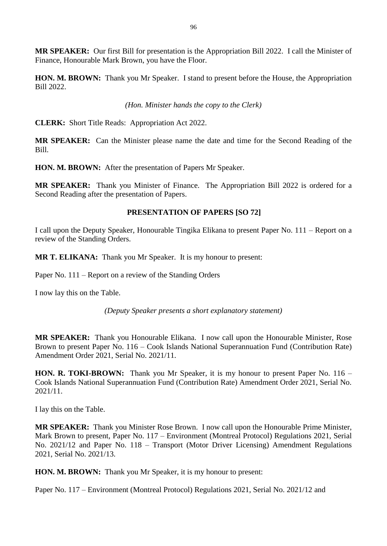**MR SPEAKER:** Our first Bill for presentation is the Appropriation Bill 2022. I call the Minister of Finance, Honourable Mark Brown, you have the Floor.

**HON. M. BROWN:** Thank you Mr Speaker. I stand to present before the House, the Appropriation Bill 2022.

#### *(Hon. Minister hands the copy to the Clerk)*

**CLERK:** Short Title Reads: Appropriation Act 2022.

**MR SPEAKER:** Can the Minister please name the date and time for the Second Reading of the Bill.

**HON. M. BROWN:** After the presentation of Papers Mr Speaker.

**MR SPEAKER:** Thank you Minister of Finance. The Appropriation Bill 2022 is ordered for a Second Reading after the presentation of Papers.

#### **PRESENTATION OF PAPERS [SO 72]**

I call upon the Deputy Speaker, Honourable Tingika Elikana to present Paper No. 111 – Report on a review of the Standing Orders.

**MR T. ELIKANA:** Thank you Mr Speaker. It is my honour to present:

Paper No. 111 – Report on a review of the Standing Orders

I now lay this on the Table.

*(Deputy Speaker presents a short explanatory statement)*

**MR SPEAKER:** Thank you Honourable Elikana. I now call upon the Honourable Minister, Rose Brown to present Paper No. 116 – Cook Islands National Superannuation Fund (Contribution Rate) Amendment Order 2021, Serial No. 2021/11.

**HON. R. TOKI-BROWN:** Thank you Mr Speaker, it is my honour to present Paper No. 116 – Cook Islands National Superannuation Fund (Contribution Rate) Amendment Order 2021, Serial No. 2021/11.

I lay this on the Table.

**MR SPEAKER:** Thank you Minister Rose Brown. I now call upon the Honourable Prime Minister, Mark Brown to present, Paper No. 117 – Environment (Montreal Protocol) Regulations 2021, Serial No. 2021/12 and Paper No. 118 – Transport (Motor Driver Licensing) Amendment Regulations 2021, Serial No. 2021/13.

**HON. M. BROWN:** Thank you Mr Speaker, it is my honour to present:

Paper No. 117 – Environment (Montreal Protocol) Regulations 2021, Serial No. 2021/12 and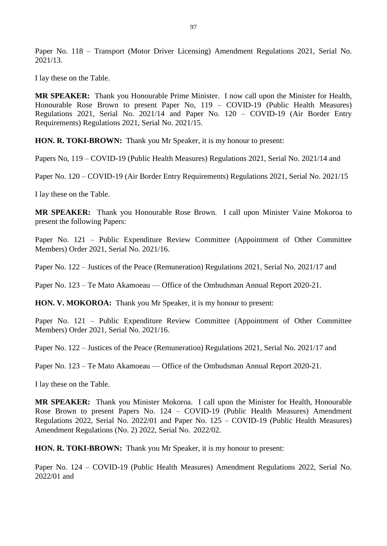Paper No. 118 – Transport (Motor Driver Licensing) Amendment Regulations 2021, Serial No. 2021/13.

I lay these on the Table.

**MR SPEAKER:** Thank you Honourable Prime Minister. I now call upon the Minister for Health, Honourable Rose Brown to present Paper No, 119 – COVID-19 (Public Health Measures) Regulations 2021, Serial No. 2021/14 and Paper No. 120 – COVID-19 (Air Border Entry Requirements) Regulations 2021, Serial No. 2021/15.

**HON. R. TOKI-BROWN:** Thank you Mr Speaker, it is my honour to present:

Papers No, 119 – COVID-19 (Public Health Measures) Regulations 2021, Serial No. 2021/14 and

Paper No. 120 – COVID-19 (Air Border Entry Requirements) Regulations 2021, Serial No. 2021/15

I lay these on the Table.

**MR SPEAKER:** Thank you Honourable Rose Brown. I call upon Minister Vaine Mokoroa to present the following Papers:

Paper No. 121 – Public Expenditure Review Committee (Appointment of Other Committee Members) Order 2021, Serial No. 2021/16.

Paper No. 122 – Justices of the Peace (Remuneration) Regulations 2021, Serial No. 2021/17 and

Paper No. 123 – Te Mato Akamoeau — Office of the Ombudsman Annual Report 2020-21.

**HON. V. MOKOROA:** Thank you Mr Speaker, it is my honour to present:

Paper No. 121 – Public Expenditure Review Committee (Appointment of Other Committee Members) Order 2021, Serial No. 2021/16.

Paper No. 122 – Justices of the Peace (Remuneration) Regulations 2021, Serial No. 2021/17 and

Paper No. 123 – Te Mato Akamoeau — Office of the Ombudsman Annual Report 2020-21.

I lay these on the Table.

**MR SPEAKER:** Thank you Minister Mokoroa. I call upon the Minister for Health, Honourable Rose Brown to present Papers No. 124 – COVID-19 (Public Health Measures) Amendment Regulations 2022, Serial No. 2022/01 and Paper No. 125 – COVID-19 (Public Health Measures) Amendment Regulations (No. 2) 2022, Serial No. 2022/02.

**HON. R. TOKI-BROWN:** Thank you Mr Speaker, it is my honour to present:

Paper No. 124 – COVID-19 (Public Health Measures) Amendment Regulations 2022, Serial No. 2022/01 and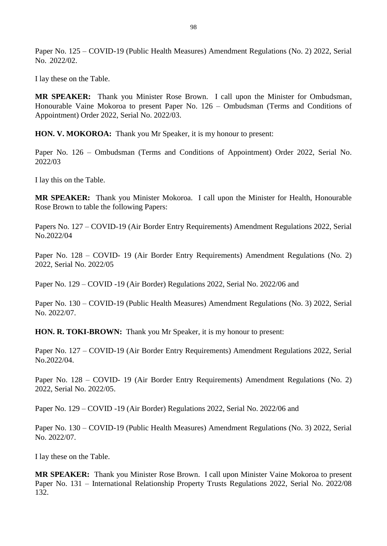Paper No. 125 – COVID-19 (Public Health Measures) Amendment Regulations (No. 2) 2022, Serial No. 2022/02.

I lay these on the Table.

**MR SPEAKER:** Thank you Minister Rose Brown. I call upon the Minister for Ombudsman, Honourable Vaine Mokoroa to present Paper No. 126 – Ombudsman (Terms and Conditions of Appointment) Order 2022, Serial No. 2022/03.

**HON. V. MOKOROA:** Thank you Mr Speaker, it is my honour to present:

Paper No. 126 – Ombudsman (Terms and Conditions of Appointment) Order 2022, Serial No. 2022/03

I lay this on the Table.

**MR SPEAKER:** Thank you Minister Mokoroa. I call upon the Minister for Health, Honourable Rose Brown to table the following Papers:

Papers No. 127 – COVID-19 (Air Border Entry Requirements) Amendment Regulations 2022, Serial No.2022/04

Paper No. 128 – COVID- 19 (Air Border Entry Requirements) Amendment Regulations (No. 2) 2022, Serial No. 2022/05

Paper No. 129 – COVID -19 (Air Border) Regulations 2022, Serial No. 2022/06 and

Paper No. 130 – COVID-19 (Public Health Measures) Amendment Regulations (No. 3) 2022, Serial No. 2022/07.

**HON. R. TOKI-BROWN:** Thank you Mr Speaker, it is my honour to present:

Paper No. 127 – COVID-19 (Air Border Entry Requirements) Amendment Regulations 2022, Serial No.2022/04.

Paper No. 128 – COVID- 19 (Air Border Entry Requirements) Amendment Regulations (No. 2) 2022, Serial No. 2022/05.

Paper No. 129 – COVID -19 (Air Border) Regulations 2022, Serial No. 2022/06 and

Paper No. 130 – COVID-19 (Public Health Measures) Amendment Regulations (No. 3) 2022, Serial No. 2022/07.

I lay these on the Table.

**MR SPEAKER:** Thank you Minister Rose Brown. I call upon Minister Vaine Mokoroa to present Paper No. 131 – International Relationship Property Trusts Regulations 2022, Serial No. 2022/08 132.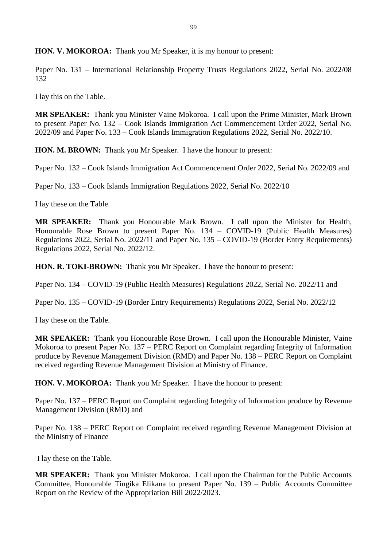**HON. V. MOKOROA:** Thank you Mr Speaker, it is my honour to present:

Paper No. 131 – International Relationship Property Trusts Regulations 2022, Serial No. 2022/08 132

I lay this on the Table.

**MR SPEAKER:** Thank you Minister Vaine Mokoroa. I call upon the Prime Minister, Mark Brown to present Paper No. 132 – Cook Islands Immigration Act Commencement Order 2022, Serial No. 2022/09 and Paper No. 133 – Cook Islands Immigration Regulations 2022, Serial No. 2022/10.

**HON. M. BROWN:** Thank you Mr Speaker. I have the honour to present:

Paper No. 132 – Cook Islands Immigration Act Commencement Order 2022, Serial No. 2022/09 and

Paper No. 133 – Cook Islands Immigration Regulations 2022, Serial No. 2022/10

I lay these on the Table.

**MR SPEAKER:** Thank you Honourable Mark Brown. I call upon the Minister for Health, Honourable Rose Brown to present Paper No. 134 – COVID-19 (Public Health Measures) Regulations 2022, Serial No. 2022/11 and Paper No. 135 – COVID-19 (Border Entry Requirements) Regulations 2022, Serial No. 2022/12.

**HON. R. TOKI-BROWN:** Thank you Mr Speaker. I have the honour to present:

Paper No. 134 – COVID-19 (Public Health Measures) Regulations 2022, Serial No. 2022/11 and

Paper No. 135 – COVID-19 (Border Entry Requirements) Regulations 2022, Serial No. 2022/12

I lay these on the Table.

**MR SPEAKER:** Thank you Honourable Rose Brown. I call upon the Honourable Minister, Vaine Mokoroa to present Paper No. 137 – PERC Report on Complaint regarding Integrity of Information produce by Revenue Management Division (RMD) and Paper No. 138 – PERC Report on Complaint received regarding Revenue Management Division at Ministry of Finance.

**HON. V. MOKOROA:** Thank you Mr Speaker. I have the honour to present:

Paper No. 137 – PERC Report on Complaint regarding Integrity of Information produce by Revenue Management Division (RMD) and

Paper No. 138 – PERC Report on Complaint received regarding Revenue Management Division at the Ministry of Finance

I lay these on the Table.

**MR SPEAKER:** Thank you Minister Mokoroa. I call upon the Chairman for the Public Accounts Committee, Honourable Tingika Elikana to present Paper No. 139 – Public Accounts Committee Report on the Review of the Appropriation Bill 2022/2023.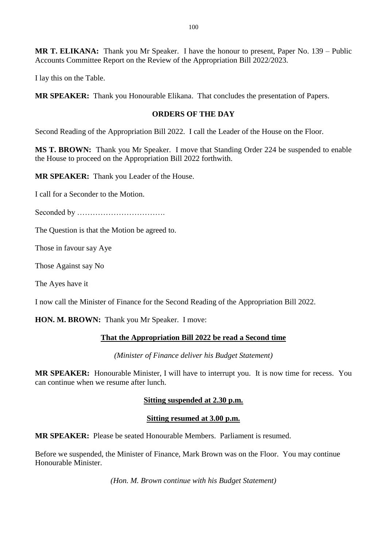**MR T. ELIKANA:** Thank you Mr Speaker. I have the honour to present, Paper No. 139 – Public Accounts Committee Report on the Review of the Appropriation Bill 2022/2023.

I lay this on the Table.

**MR SPEAKER:** Thank you Honourable Elikana. That concludes the presentation of Papers.

#### **ORDERS OF THE DAY**

Second Reading of the Appropriation Bill 2022. I call the Leader of the House on the Floor.

**MS T. BROWN:** Thank you Mr Speaker. I move that Standing Order 224 be suspended to enable the House to proceed on the Appropriation Bill 2022 forthwith.

**MR SPEAKER:** Thank you Leader of the House.

I call for a Seconder to the Motion.

Seconded by …………………………….

The Question is that the Motion be agreed to.

Those in favour say Aye

Those Against say No

The Ayes have it

I now call the Minister of Finance for the Second Reading of the Appropriation Bill 2022.

**HON. M. BROWN:** Thank you Mr Speaker. I move:

#### **That the Appropriation Bill 2022 be read a Second time**

*(Minister of Finance deliver his Budget Statement)*

**MR SPEAKER:** Honourable Minister, I will have to interrupt you. It is now time for recess. You can continue when we resume after lunch.

#### **Sitting suspended at 2.30 p.m.**

#### **Sitting resumed at 3.00 p.m.**

**MR SPEAKER:** Please be seated Honourable Members. Parliament is resumed.

Before we suspended, the Minister of Finance, Mark Brown was on the Floor. You may continue Honourable Minister.

*(Hon. M. Brown continue with his Budget Statement)*